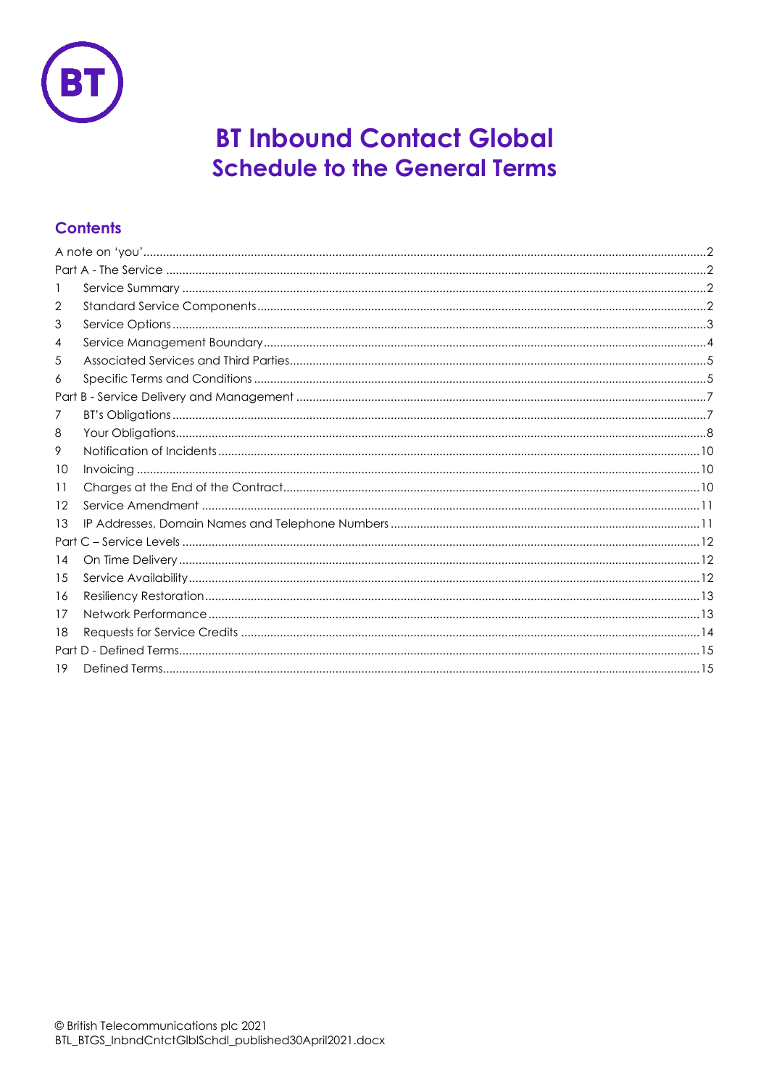

# **BT Inbound Contact Global Schedule to the General Terms**

## **Contents**

| 2  |  |  |  |
|----|--|--|--|
| 3  |  |  |  |
| 4  |  |  |  |
| 5  |  |  |  |
| 6  |  |  |  |
|    |  |  |  |
| 7  |  |  |  |
| 8  |  |  |  |
| 9  |  |  |  |
| 10 |  |  |  |
| 11 |  |  |  |
| 12 |  |  |  |
| 13 |  |  |  |
|    |  |  |  |
| 14 |  |  |  |
| 15 |  |  |  |
| 16 |  |  |  |
| 17 |  |  |  |
| 18 |  |  |  |
|    |  |  |  |
| 19 |  |  |  |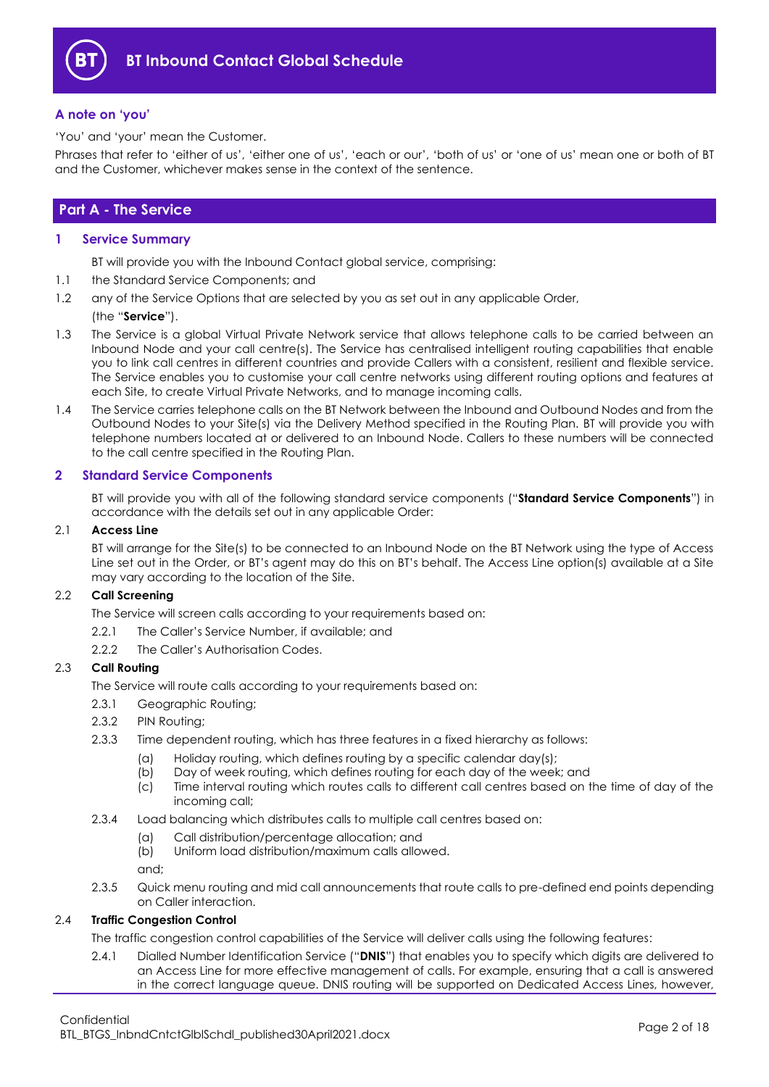

#### <span id="page-1-0"></span>**A note on 'you'**

'You' and 'your' mean the Customer.

Phrases that refer to 'either of us', 'either one of us', 'each or our', 'both of us' or 'one of us' mean one or both of BT and the Customer, whichever makes sense in the context of the sentence.

## <span id="page-1-1"></span>**Part A - The Service**

#### <span id="page-1-2"></span>**1 Service Summary**

BT will provide you with the Inbound Contact global service, comprising:

- 1.1 the Standard Service Components; and
- 1.2 any of the Service Options that are selected by you as set out in any applicable Order,

#### (the "**Service**").

- 1.3 The Service is a global Virtual Private Network service that allows telephone calls to be carried between an Inbound Node and your call centre(s). The Service has centralised intelligent routing capabilities that enable you to link call centres in different countries and provide Callers with a consistent, resilient and flexible service. The Service enables you to customise your call centre networks using different routing options and features at each Site, to create Virtual Private Networks, and to manage incoming calls.
- 1.4 The Service carries telephone calls on the BT Network between the Inbound and Outbound Nodes and from the Outbound Nodes to your Site(s) via the Delivery Method specified in the Routing Plan. BT will provide you with telephone numbers located at or delivered to an Inbound Node. Callers to these numbers will be connected to the call centre specified in the Routing Plan.

#### <span id="page-1-3"></span>**2 Standard Service Components**

BT will provide you with all of the following standard service components ("**Standard Service Components**") in accordance with the details set out in any applicable Order:

#### 2.1 **Access Line**

BT will arrange for the Site(s) to be connected to an Inbound Node on the BT Network using the type of Access Line set out in the Order, or BT's agent may do this on BT's behalf. The Access Line option(s) available at a Site may vary according to the location of the Site.

#### 2.2 **Call Screening**

The Service will screen calls according to your requirements based on:

- 2.2.1 The Caller's Service Number, if available; and
- 2.2.2 The Caller's Authorisation Codes.

#### <span id="page-1-4"></span>2.3 **Call Routing**

The Service will route calls according to your requirements based on:

- 2.3.1 Geographic Routing;
- 2.3.2 PIN Routing;
- 2.3.3 Time dependent routing, which has three features in a fixed hierarchy as follows:
	- (a) Holiday routing, which defines routing by a specific calendar day(s);
	- (b) Day of week routing, which defines routing for each day of the week; and
	- (c) Time interval routing which routes calls to different call centres based on the time of day of the incoming call;
- 2.3.4 Load balancing which distributes calls to multiple call centres based on:
	- (a) Call distribution/percentage allocation; and
	- (b) Uniform load distribution/maximum calls allowed.
	- and;
- 2.3.5 Quick menu routing and mid call announcements that route calls to pre-defined end points depending on Caller interaction.

#### 2.4 **Traffic Congestion Control**

The traffic congestion control capabilities of the Service will deliver calls using the following features:

2.4.1 Dialled Number Identification Service ("**DNIS**") that enables you to specify which digits are delivered to an Access Line for more effective management of calls. For example, ensuring that a call is answered in the correct language queue. DNIS routing will be supported on Dedicated Access Lines, however,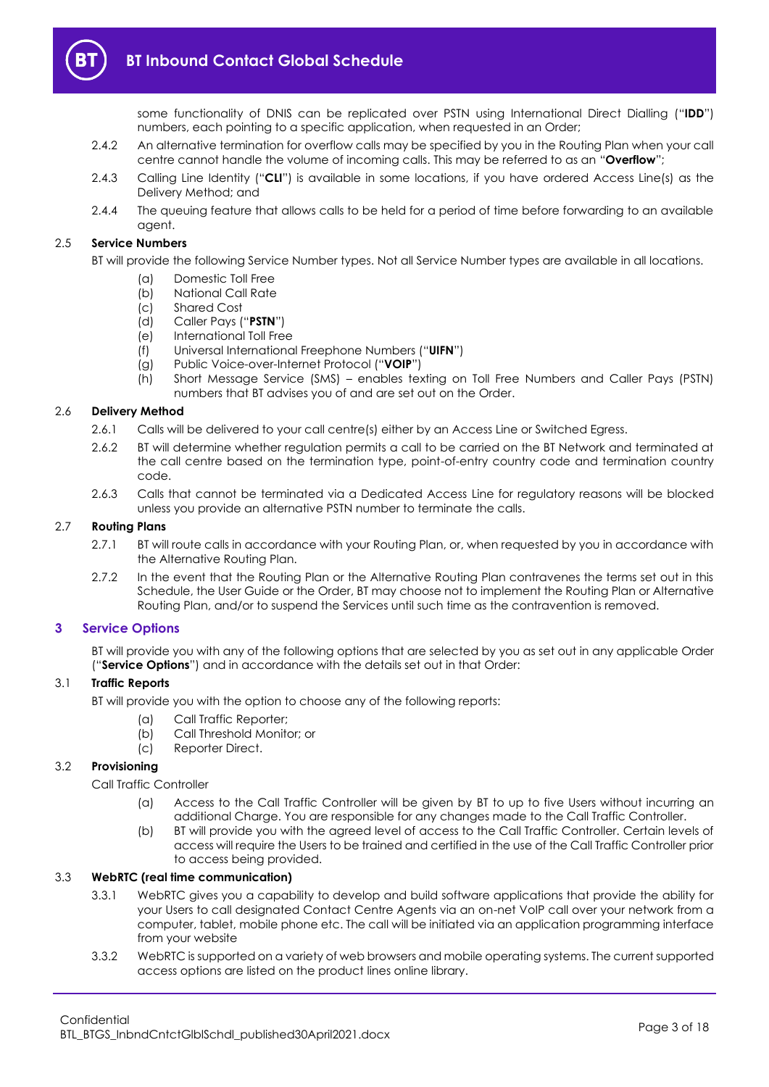

some functionality of DNIS can be replicated over PSTN using International Direct Dialling ("**IDD**") numbers, each pointing to a specific application, when requested in an Order;

- 2.4.2 An alternative termination for overflow calls may be specified by you in the Routing Plan when your call centre cannot handle the volume of incoming calls. This may be referred to as an "**Overflow**";
- 2.4.3 Calling Line Identity ("**CLI**") is available in some locations, if you have ordered Access Line(s) as the Delivery Method; and
- 2.4.4 The queuing feature that allows calls to be held for a period of time before forwarding to an available agent.

#### 2.5 **Service Numbers**

BT will provide the following Service Number types. Not all Service Number types are available in all locations.

- (a) Domestic Toll Free
- (b) National Call Rate
- (c) Shared Cost
- (d) Caller Pays ("**PSTN**")
- (e) International Toll Free
- (f) Universal International Freephone Numbers ("**UIFN**")
- (g) Public Voice-over-Internet Protocol ("**VOIP**")
- (h) Short Message Service (SMS) enables texting on Toll Free Numbers and Caller Pays (PSTN) numbers that BT advises you of and are set out on the Order.

### 2.6 **Delivery Method**

- 2.6.1 Calls will be delivered to your call centre(s) either by an Access Line or Switched Egress.
- 2.6.2 BT will determine whether regulation permits a call to be carried on the BT Network and terminated at the call centre based on the termination type, point-of-entry country code and termination country code.
- 2.6.3 Calls that cannot be terminated via a Dedicated Access Line for regulatory reasons will be blocked unless you provide an alternative PSTN number to terminate the calls.

#### 2.7 **Routing Plans**

- 2.7.1 BT will route calls in accordance with your Routing Plan, or, when requested by you in accordance with the Alternative Routing Plan.
- 2.7.2 In the event that the Routing Plan or the Alternative Routing Plan contravenes the terms set out in this Schedule, the User Guide or the Order, BT may choose not to implement the Routing Plan or Alternative Routing Plan, and/or to suspend the Services until such time as the contravention is removed.

## <span id="page-2-0"></span>**3 Service Options**

BT will provide you with any of the following options that are selected by you as set out in any applicable Order ("**Service Options**") and in accordance with the details set out in that Order:

## 3.1 **Traffic Reports**

BT will provide you with the option to choose any of the following reports:

- (a) Call Traffic Reporter;
	- (b) Call Threshold Monitor; or
	- (c) Reporter Direct.

## 3.2 **Provisioning**

Call Traffic Controller

- (a) Access to the Call Traffic Controller will be given by BT to up to five Users without incurring an additional Charge. You are responsible for any changes made to the Call Traffic Controller.
- (b) BT will provide you with the agreed level of access to the Call Traffic Controller. Certain levels of access will require the Users to be trained and certified in the use of the Call Traffic Controller prior to access being provided.

## <span id="page-2-2"></span><span id="page-2-1"></span>3.3 **WebRTC (real time communication)**

- 3.3.1 WebRTC gives you a capability to develop and build software applications that provide the ability for your Users to call designated Contact Centre Agents via an on-net VoIP call over your network from a computer, tablet, mobile phone etc. The call will be initiated via an application programming interface from your website
- 3.3.2 WebRTC is supported on a variety of web browsers and mobile operating systems. The current supported access options are listed on the product lines online library.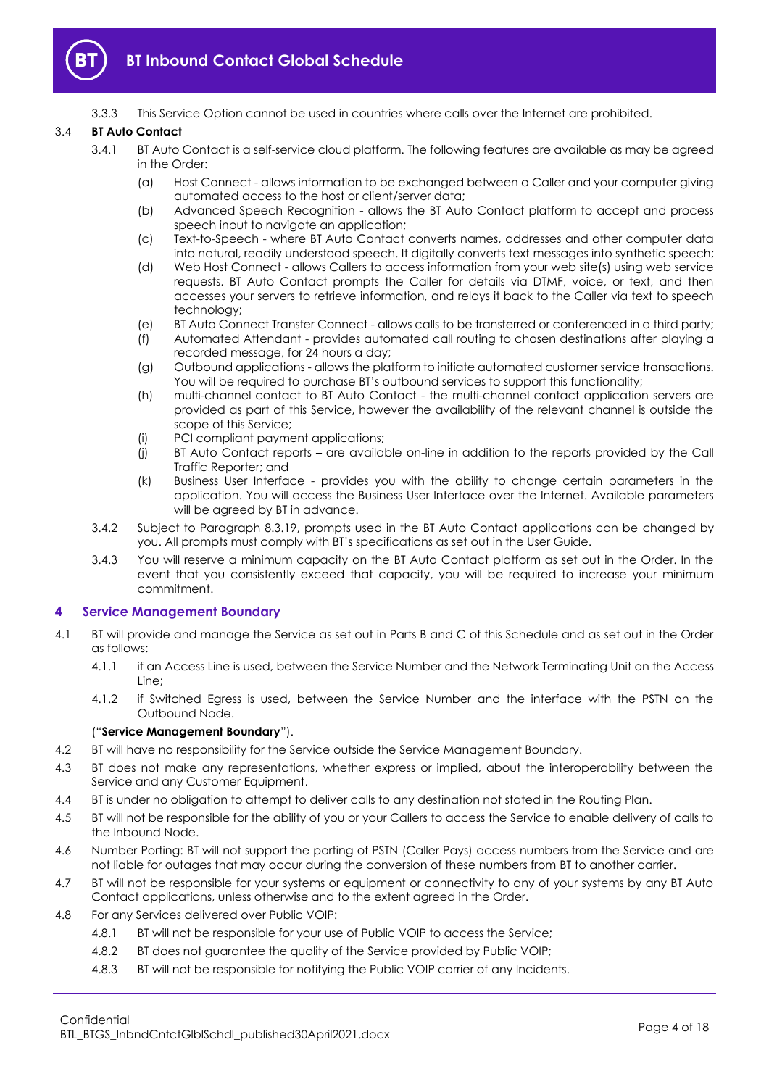

3.3.3 This Service Option cannot be used in countries where calls over the Internet are prohibited.

## <span id="page-3-2"></span><span id="page-3-1"></span>3.4 **BT Auto Contact**

- 3.4.1 BT Auto Contact is a self-service cloud platform. The following features are available as may be agreed in the Order:
	- (a) Host Connect allows information to be exchanged between a Caller and your computer giving automated access to the host or client/server data;
	- (b) Advanced Speech Recognition allows the BT Auto Contact platform to accept and process speech input to navigate an application;
	- (c) Text-to-Speech where BT Auto Contact converts names, addresses and other computer data into natural, readily understood speech. It digitally converts text messages into synthetic speech;
	- (d) Web Host Connect allows Callers to access information from your web site(s) using web service requests. BT Auto Contact prompts the Caller for details via DTMF, voice, or text, and then accesses your servers to retrieve information, and relays it back to the Caller via text to speech technology;
	- (e) BT Auto Connect Transfer Connect allows calls to be transferred or conferenced in a third party;
	- (f) Automated Attendant provides automated call routing to chosen destinations after playing a recorded message, for 24 hours a day;
	- (g) Outbound applications allows the platform to initiate automated customer service transactions. You will be required to purchase BT's outbound services to support this functionality;
	- (h) multi-channel contact to BT Auto Contact the multi-channel contact application servers are provided as part of this Service, however the availability of the relevant channel is outside the scope of this Service;
	- (i) PCI compliant payment applications;
	- (j) BT Auto Contact reports are available on-line in addition to the reports provided by the Call Traffic Reporter; and
	- (k) Business User Interface provides you with the ability to change certain parameters in the application. You will access the Business User Interface over the Internet. Available parameters will be agreed by BT in advance.
- <span id="page-3-3"></span>3.4.2 Subject to Paragraph [8.3.19,](#page-8-0) prompts used in the BT Auto Contact applications can be changed by you. All prompts must comply with BT's specifications as set out in the User Guide.
- 3.4.3 You will reserve a minimum capacity on the BT Auto Contact platform as set out in the Order. In the event that you consistently exceed that capacity, you will be required to increase your minimum commitment.

#### <span id="page-3-0"></span>**4 Service Management Boundary**

- <span id="page-3-4"></span>4.1 BT will provide and manage the Service as set out in Parts B and C of this Schedule and as set out in the Order as follows:
	- 4.1.1 if an Access Line is used, between the Service Number and the Network Terminating Unit on the Access Line;
	- 4.1.2 if Switched Egress is used, between the Service Number and the interface with the PSTN on the Outbound Node.

#### ("**Service Management Boundary**").

- 4.2 BT will have no responsibility for the Service outside the Service Management Boundary.
- 4.3 BT does not make any representations, whether express or implied, about the interoperability between the Service and any Customer Equipment.
- 4.4 BT is under no obligation to attempt to deliver calls to any destination not stated in the Routing Plan.
- 4.5 BT will not be responsible for the ability of you or your Callers to access the Service to enable delivery of calls to the Inbound Node.
- 4.6 Number Porting: BT will not support the porting of PSTN (Caller Pays) access numbers from the Service and are not liable for outages that may occur during the conversion of these numbers from BT to another carrier.
- 4.7 BT will not be responsible for your systems or equipment or connectivity to any of your systems by any BT Auto Contact applications, unless otherwise and to the extent agreed in the Order.
- 4.8 For any Services delivered over Public VOIP:
	- 4.8.1 BT will not be responsible for your use of Public VOIP to access the Service;
	- 4.8.2 BT does not guarantee the quality of the Service provided by Public VOIP;
	- 4.8.3 BT will not be responsible for notifying the Public VOIP carrier of any Incidents.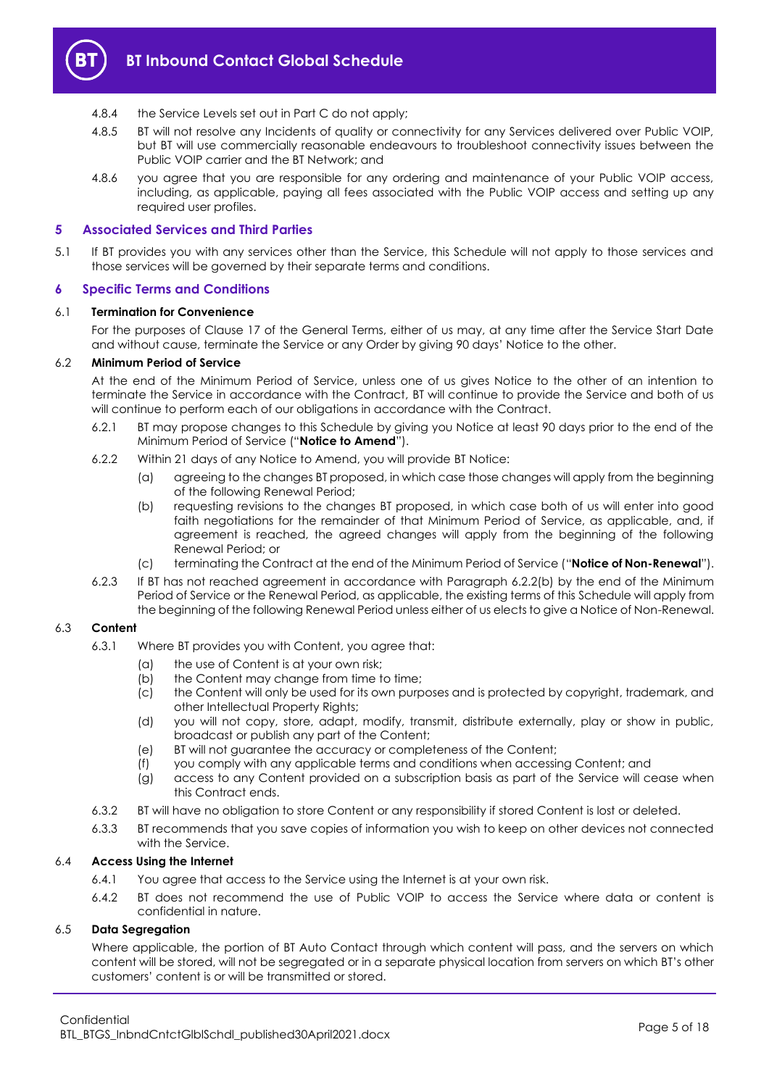

- 4.8.4 the Service Levels set out in Part C do not apply;
- 4.8.5 BT will not resolve any Incidents of quality or connectivity for any Services delivered over Public VOIP, but BT will use commercially reasonable endeavours to troubleshoot connectivity issues between the Public VOIP carrier and the BT Network; and
- 4.8.6 you agree that you are responsible for any ordering and maintenance of your Public VOIP access, including, as applicable, paying all fees associated with the Public VOIP access and setting up any required user profiles.

#### <span id="page-4-0"></span>**5 Associated Services and Third Parties**

5.1 If BT provides you with any services other than the Service, this Schedule will not apply to those services and those services will be governed by their separate terms and conditions.

#### <span id="page-4-1"></span>**6 Specific Terms and Conditions**

#### 6.1 **Termination for Convenience**

For the purposes of Clause 17 of the General Terms, either of us may, at any time after the Service Start Date and without cause, terminate the Service or any Order by giving 90 days' Notice to the other.

#### 6.2 **Minimum Period of Service**

At the end of the Minimum Period of Service, unless one of us gives Notice to the other of an intention to terminate the Service in accordance with the Contract, BT will continue to provide the Service and both of us will continue to perform each of our obligations in accordance with the Contract.

- <span id="page-4-4"></span>6.2.1 BT may propose changes to this Schedule by giving you Notice at least 90 days prior to the end of the Minimum Period of Service ("**Notice to Amend**").
- <span id="page-4-3"></span><span id="page-4-2"></span>6.2.2 Within 21 days of any Notice to Amend, you will provide BT Notice:
	- (a) agreeing to the changes BT proposed, in which case those changes will apply from the beginning of the following Renewal Period;
	- (b) requesting revisions to the changes BT proposed, in which case both of us will enter into good faith negotiations for the remainder of that Minimum Period of Service, as applicable, and, if agreement is reached, the agreed changes will apply from the beginning of the following Renewal Period; or
	- (c) terminating the Contract at the end of the Minimum Period of Service ("**Notice of Non-Renewal**").
- 6.2.3 If BT has not reached agreement in accordance with Paragraph [6.2.2\(b\)](#page-4-2) by the end of the Minimum Period of Service or the Renewal Period, as applicable, the existing terms of this Schedule will apply from the beginning of the following Renewal Period unless either of us elects to give a Notice of Non-Renewal.

#### 6.3 **Content**

- 6.3.1 Where BT provides you with Content, you agree that:
	- (a) the use of Content is at your own risk;
	- (b) the Content may change from time to time;
	- (c) the Content will only be used for its own purposes and is protected by copyright, trademark, and other Intellectual Property Rights;
	- (d) you will not copy, store, adapt, modify, transmit, distribute externally, play or show in public, broadcast or publish any part of the Content;
	- (e) BT will not guarantee the accuracy or completeness of the Content;
	- (f) you comply with any applicable terms and conditions when accessing Content; and
	- (g) access to any Content provided on a subscription basis as part of the Service will cease when this Contract ends.
- 6.3.2 BT will have no obligation to store Content or any responsibility if stored Content is lost or deleted.
- 6.3.3 BT recommends that you save copies of information you wish to keep on other devices not connected with the Service.

#### 6.4 **Access Using the Internet**

- 6.4.1 You agree that access to the Service using the Internet is at your own risk.
- 6.4.2 BT does not recommend the use of Public VOIP to access the Service where data or content is confidential in nature.

#### 6.5 **Data Segregation**

Where applicable, the portion of BT Auto Contact through which content will pass, and the servers on which content will be stored, will not be segregated or in a separate physical location from servers on which BT's other customers' content is or will be transmitted or stored.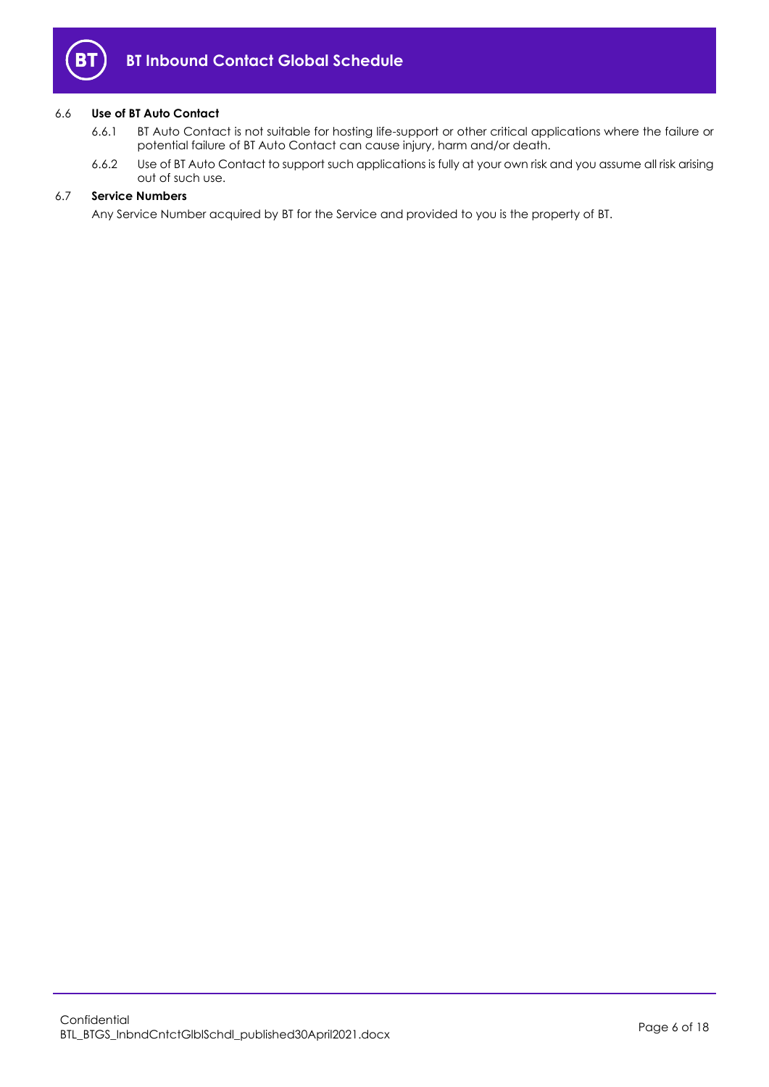

## 6.6 **Use of BT Auto Contact**

- 6.6.1 BT Auto Contact is not suitable for hosting life-support or other critical applications where the failure or potential failure of BT Auto Contact can cause injury, harm and/or death.
- 6.6.2 Use of BT Auto Contact to support such applications is fully at your own risk and you assume all risk arising out of such use.

## 6.7 **Service Numbers**

Any Service Number acquired by BT for the Service and provided to you is the property of BT.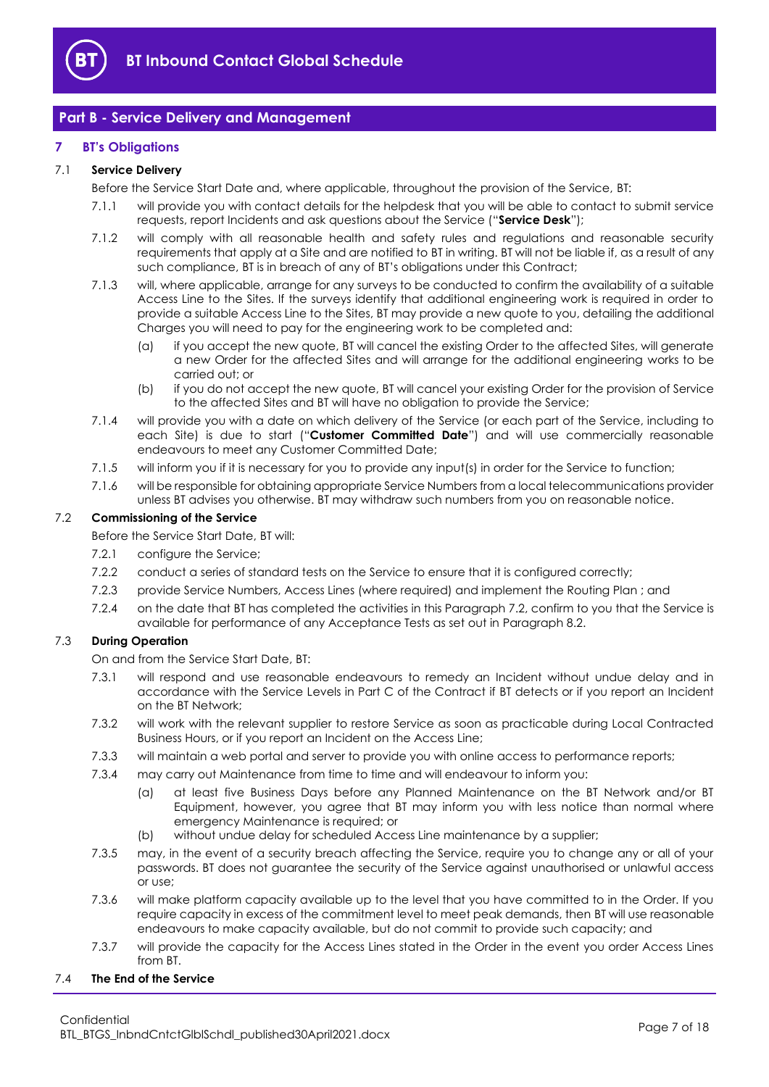

## <span id="page-6-0"></span>**Part B - Service Delivery and Management**

## <span id="page-6-1"></span>**7 BT's Obligations**

## <span id="page-6-7"></span>7.1 **Service Delivery**

Before the Service Start Date and, where applicable, throughout the provision of the Service, BT:

- 7.1.1 will provide you with contact details for the helpdesk that you will be able to contact to submit service requests, report Incidents and ask questions about the Service ("**Service Desk**");
- 7.1.2 will comply with all reasonable health and safety rules and regulations and reasonable security requirements that apply at a Site and are notified to BT in writing. BT will not be liable if, as a result of any such compliance, BT is in breach of any of BT's obligations under this Contract;
- 7.1.3 will, where applicable, arrange for any surveys to be conducted to confirm the availability of a suitable Access Line to the Sites. If the surveys identify that additional engineering work is required in order to provide a suitable Access Line to the Sites, BT may provide a new quote to you, detailing the additional Charges you will need to pay for the engineering work to be completed and:
	- (a) if you accept the new quote, BT will cancel the existing Order to the affected Sites, will generate a new Order for the affected Sites and will arrange for the additional engineering works to be carried out; or
	- (b) if you do not accept the new quote, BT will cancel your existing Order for the provision of Service to the affected Sites and BT will have no obligation to provide the Service;
- <span id="page-6-6"></span>7.1.4 will provide you with a date on which delivery of the Service (or each part of the Service, including to each Site) is due to start ("**Customer Committed Date**") and will use commercially reasonable endeavours to meet any Customer Committed Date;
- 7.1.5 will inform you if it is necessary for you to provide any input(s) in order for the Service to function;
- 7.1.6 will be responsible for obtaining appropriate Service Numbers from a local telecommunications provider unless BT advises you otherwise. BT may withdraw such numbers from you on reasonable notice.

#### <span id="page-6-2"></span>7.2 **Commissioning of the Service**

Before the Service Start Date, BT will:

- 7.2.1 configure the Service;
- 7.2.2 conduct a series of standard tests on the Service to ensure that it is configured correctly;
- 7.2.3 provide Service Numbers, Access Lines (where required) and implement the Routing Plan ; and
- 7.2.4 on the date that BT has completed the activities in this Paragraph [7.2,](#page-6-2) confirm to you that the Service is available for performance of any Acceptance Tests as set out in Paragraph [8.2.](#page-7-1)

## <span id="page-6-4"></span><span id="page-6-3"></span>7.3 **During Operation**

On and from the Service Start Date, BT:

- 7.3.1 will respond and use reasonable endeavours to remedy an Incident without undue delay and in accordance with the Service Levels in Part C of the Contract if BT detects or if you report an Incident on the BT Network;
- <span id="page-6-5"></span>7.3.2 will work with the relevant supplier to restore Service as soon as practicable during Local Contracted Business Hours, or if you report an Incident on the Access Line;
- 7.3.3 will maintain a web portal and server to provide you with online access to performance reports;
- 7.3.4 may carry out Maintenance from time to time and will endeavour to inform you:
	- (a) at least five Business Days before any Planned Maintenance on the BT Network and/or BT Equipment, however, you agree that BT may inform you with less notice than normal where emergency Maintenance is required; or
	- (b) without undue delay for scheduled Access Line maintenance by a supplier;
- 7.3.5 may, in the event of a security breach affecting the Service, require you to change any or all of your passwords. BT does not guarantee the security of the Service against unauthorised or unlawful access or use;
- 7.3.6 will make platform capacity available up to the level that you have committed to in the Order. If you require capacity in excess of the commitment level to meet peak demands, then BT will use reasonable endeavours to make capacity available, but do not commit to provide such capacity; and
- 7.3.7 will provide the capacity for the Access Lines stated in the Order in the event you order Access Lines from **BT**

#### 7.4 **The End of the Service**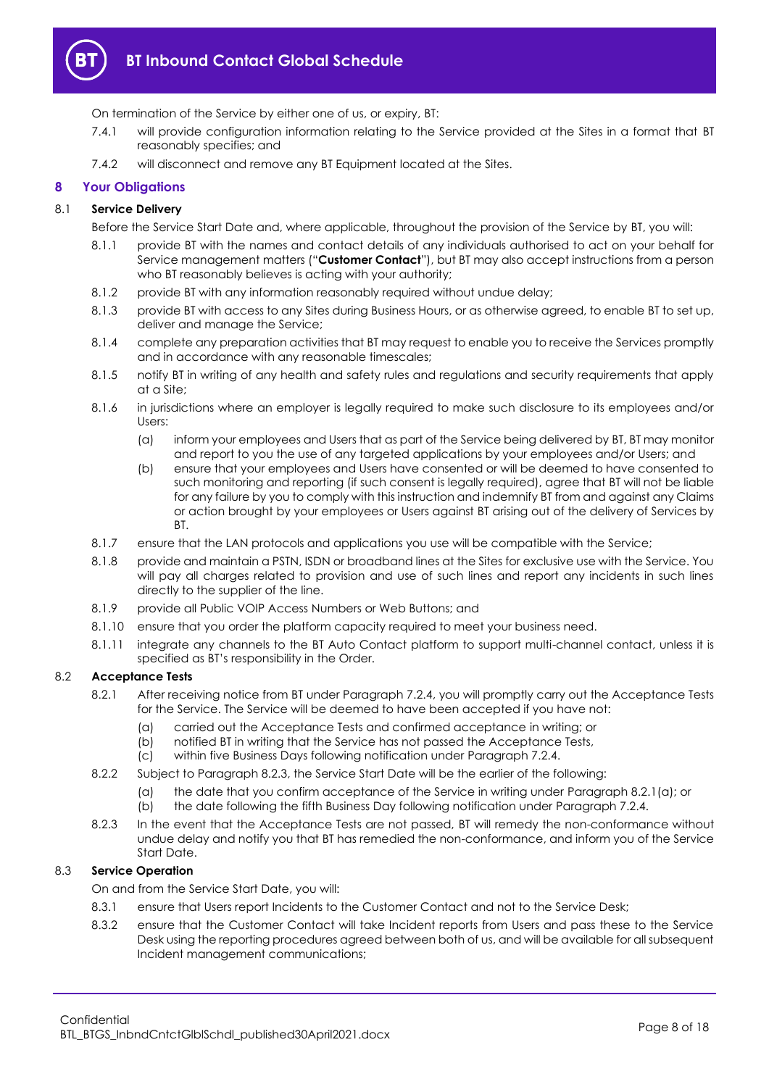

On termination of the Service by either one of us, or expiry, BT:

- 7.4.1 will provide configuration information relating to the Service provided at the Sites in a format that BT reasonably specifies; and
- 7.4.2 will disconnect and remove any BT Equipment located at the Sites.

## <span id="page-7-0"></span>**8 Your Obligations**

## <span id="page-7-4"></span>8.1 **Service Delivery**

Before the Service Start Date and, where applicable, throughout the provision of the Service by BT, you will:

- 8.1.1 provide BT with the names and contact details of any individuals authorised to act on your behalf for Service management matters ("**Customer Contact**"), but BT may also accept instructions from a person who BT reasonably believes is acting with your authority;
- 8.1.2 provide BT with any information reasonably required without undue delay;
- 8.1.3 provide BT with access to any Sites during Business Hours, or as otherwise agreed, to enable BT to set up, deliver and manage the Service;
- 8.1.4 complete any preparation activities that BT may request to enable you to receive the Services promptly and in accordance with any reasonable timescales;
- 8.1.5 notify BT in writing of any health and safety rules and regulations and security requirements that apply at a Site;
- 8.1.6 in jurisdictions where an employer is legally required to make such disclosure to its employees and/or Users:
	- (a) inform your employees and Users that as part of the Service being delivered by BT, BT may monitor and report to you the use of any targeted applications by your employees and/or Users; and
	- (b) ensure that your employees and Users have consented or will be deemed to have consented to such monitoring and reporting (if such consent is legally required), agree that BT will not be liable for any failure by you to comply with this instruction and indemnify BT from and against any Claims or action brought by your employees or Users against BT arising out of the delivery of Services by BT.
- 8.1.7 ensure that the LAN protocols and applications you use will be compatible with the Service;
- 8.1.8 provide and maintain a PSTN, ISDN or broadband lines at the Sites for exclusive use with the Service. You will pay all charges related to provision and use of such lines and report any incidents in such lines directly to the supplier of the line.
- 8.1.9 provide all Public VOIP Access Numbers or Web Buttons; and
- 8.1.10 ensure that you order the platform capacity required to meet your business need.
- 8.1.11 integrate any channels to the BT Auto Contact platform to support multi-channel contact, unless it is specified as BT's responsibility in the Order.

#### <span id="page-7-3"></span><span id="page-7-1"></span>8.2 **Acceptance Tests**

- 8.2.1 After receiving notice from BT under Paragraph [7.2.4,](#page-6-3) you will promptly carry out the Acceptance Tests for the Service. The Service will be deemed to have been accepted if you have not:
	- (a) carried out the Acceptance Tests and confirmed acceptance in writing; or
	- (b) notified BT in writing that the Service has not passed the Acceptance Tests,
	- (c) within five Business Days following notification under Paragraph [7.2.4.](#page-6-3)
- 8.2.2 Subject to Paragraph [8.2.3,](#page-7-2) the Service Start Date will be the earlier of the following:
	- (a) the date that you confirm acceptance of the Service in writing under Paragraph [8.2.1\(a\);](#page-7-3) or
	- (b) the date following the fifth Business Day following notification under Paragraph [7.2.4.](#page-6-3)
- <span id="page-7-2"></span>8.2.3 In the event that the Acceptance Tests are not passed, BT will remedy the non-conformance without undue delay and notify you that BT has remedied the non-conformance, and inform you of the Service Start Date.

## 8.3 **Service Operation**

On and from the Service Start Date, you will:

- 8.3.1 ensure that Users report Incidents to the Customer Contact and not to the Service Desk;
- 8.3.2 ensure that the Customer Contact will take Incident reports from Users and pass these to the Service Desk using the reporting procedures agreed between both of us, and will be available for all subsequent Incident management communications;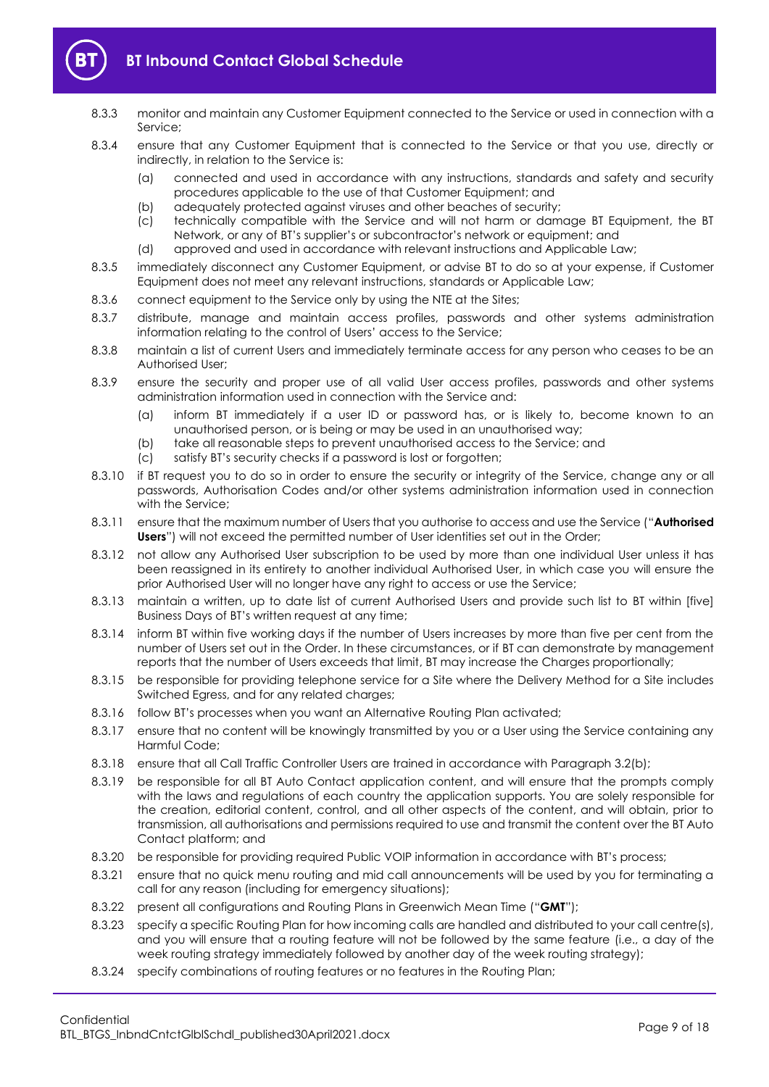

- 8.3.3 monitor and maintain any Customer Equipment connected to the Service or used in connection with a Service;
- 8.3.4 ensure that any Customer Equipment that is connected to the Service or that you use, directly or indirectly, in relation to the Service is:
	- (a) connected and used in accordance with any instructions, standards and safety and security procedures applicable to the use of that Customer Equipment; and
	- (b) adequately protected against viruses and other beaches of security;
	- (c) technically compatible with the Service and will not harm or damage BT Equipment, the BT Network, or any of BT's supplier's or subcontractor's network or equipment; and
	- (d) approved and used in accordance with relevant instructions and Applicable Law;
- 8.3.5 immediately disconnect any Customer Equipment, or advise BT to do so at your expense, if Customer Equipment does not meet any relevant instructions, standards or Applicable Law;
- 8.3.6 connect equipment to the Service only by using the NTE at the Sites;
- 8.3.7 distribute, manage and maintain access profiles, passwords and other systems administration information relating to the control of Users' access to the Service;
- 8.3.8 maintain a list of current Users and immediately terminate access for any person who ceases to be an Authorised User;
- 8.3.9 ensure the security and proper use of all valid User access profiles, passwords and other systems administration information used in connection with the Service and:
	- (a) inform BT immediately if a user ID or password has, or is likely to, become known to an unauthorised person, or is being or may be used in an unauthorised way;
	- (b) take all reasonable steps to prevent unauthorised access to the Service; and
	- (c) satisfy BT's security checks if a password is lost or forgotten;
- 8.3.10 if BT request you to do so in order to ensure the security or integrity of the Service, change any or all passwords, Authorisation Codes and/or other systems administration information used in connection with the Service;
- <span id="page-8-1"></span>8.3.11 ensure that the maximum number of Users that you authorise to access and use the Service ("**Authorised Users**") will not exceed the permitted number of User identities set out in the Order;
- 8.3.12 not allow any Authorised User subscription to be used by more than one individual User unless it has been reassigned in its entirety to another individual Authorised User, in which case you will ensure the prior Authorised User will no longer have any right to access or use the Service;
- 8.3.13 maintain a written, up to date list of current Authorised Users and provide such list to BT within [five] Business Days of BT's written request at any time;
- 8.3.14 inform BT within five working days if the number of Users increases by more than five per cent from the number of Users set out in the Order. In these circumstances, or if BT can demonstrate by management reports that the number of Users exceeds that limit, BT may increase the Charges proportionally;
- 8.3.15 be responsible for providing telephone service for a Site where the Delivery Method for a Site includes Switched Egress, and for any related charges;
- 8.3.16 follow BT's processes when you want an Alternative Routing Plan activated;
- 8.3.17 ensure that no content will be knowingly transmitted by you or a User using the Service containing any Harmful Code;
- 8.3.18 ensure that all Call Traffic Controller Users are trained in accordance with Paragraph [3.2\(b\);](#page-2-1)
- <span id="page-8-0"></span>8.3.19 be responsible for all BT Auto Contact application content, and will ensure that the prompts comply with the laws and regulations of each country the application supports. You are solely responsible for the creation, editorial content, control, and all other aspects of the content, and will obtain, prior to transmission, all authorisations and permissions required to use and transmit the content over the BT Auto Contact platform; and
- 8.3.20 be responsible for providing required Public VOIP information in accordance with BT's process;
- 8.3.21 ensure that no quick menu routing and mid call announcements will be used by you for terminating a call for any reason (including for emergency situations);
- 8.3.22 present all configurations and Routing Plans in Greenwich Mean Time ("**GMT**");
- 8.3.23 specify a specific Routing Plan for how incoming calls are handled and distributed to your call centre(s), and you will ensure that a routing feature will not be followed by the same feature (i.e., a day of the week routing strategy immediately followed by another day of the week routing strategy);
- 8.3.24 specify combinations of routing features or no features in the Routing Plan;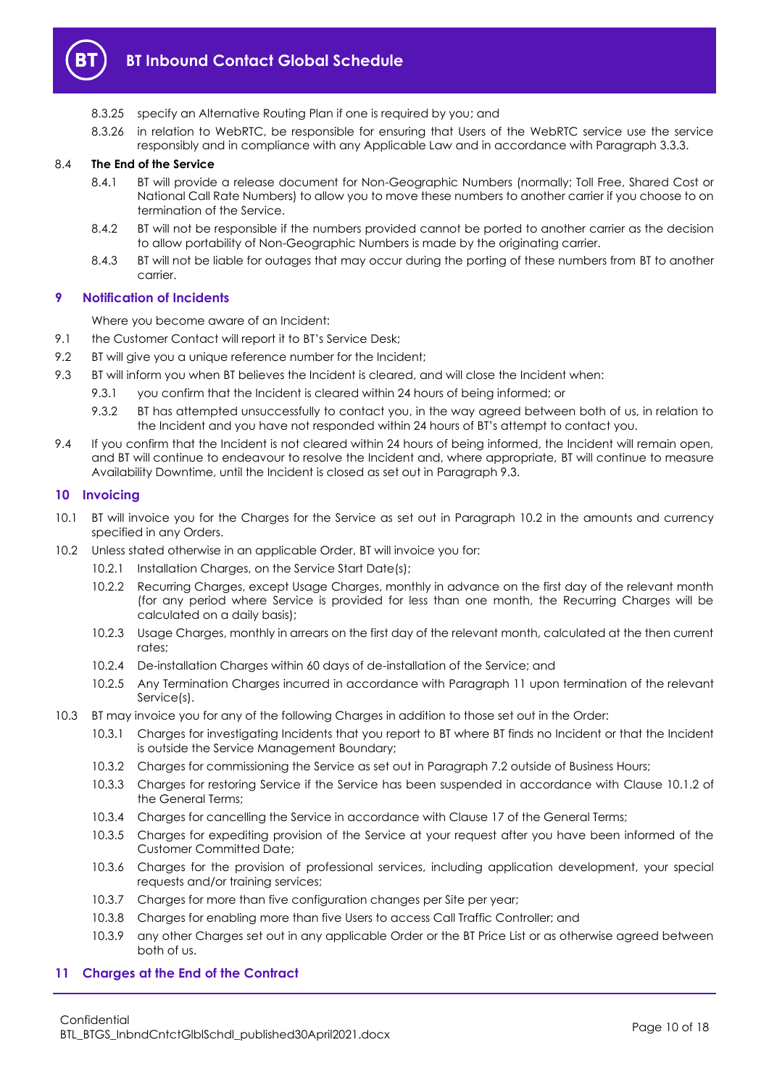

- 8.3.25 specify an Alternative Routing Plan if one is required by you; and
- 8.3.26 in relation to WebRTC, be responsible for ensuring that Users of the WebRTC service use the service responsibly and in compliance with any Applicable Law and in accordance with Paragrap[h 3.3.3.](#page-3-1)

#### 8.4 **The End of the Service**

- 8.4.1 BT will provide a release document for Non-Geographic Numbers (normally; Toll Free, Shared Cost or National Call Rate Numbers) to allow you to move these numbers to another carrier if you choose to on termination of the Service.
- 8.4.2 BT will not be responsible if the numbers provided cannot be ported to another carrier as the decision to allow portability of Non-Geographic Numbers is made by the originating carrier.
- 8.4.3 BT will not be liable for outages that may occur during the porting of these numbers from BT to another carrier.

## <span id="page-9-0"></span>**9 Notification of Incidents**

Where you become aware of an Incident:

- 9.1 the Customer Contact will report it to BT's Service Desk;
- 9.2 BT will give you a unique reference number for the Incident;
- <span id="page-9-3"></span>9.3 BT will inform you when BT believes the Incident is cleared, and will close the Incident when:
	- 9.3.1 you confirm that the Incident is cleared within 24 hours of being informed; or
		- 9.3.2 BT has attempted unsuccessfully to contact you, in the way agreed between both of us, in relation to the Incident and you have not responded within 24 hours of BT's attempt to contact you.
- 9.4 If you confirm that the Incident is not cleared within 24 hours of being informed, the Incident will remain open, and BT will continue to endeavour to resolve the Incident and, where appropriate, BT will continue to measure Availability Downtime, until the Incident is closed as set out in Paragraph [9.3.](#page-9-3)

### <span id="page-9-1"></span>**10 Invoicing**

- 10.1 BT will invoice you for the Charges for the Service as set out in Paragraph [10.2](#page-9-4) in the amounts and currency specified in any Orders.
- <span id="page-9-4"></span>10.2 Unless stated otherwise in an applicable Order, BT will invoice you for:
	- 10.2.1 Installation Charges, on the Service Start Date(s);
	- 10.2.2 Recurring Charges, except Usage Charges, monthly in advance on the first day of the relevant month (for any period where Service is provided for less than one month, the Recurring Charges will be calculated on a daily basis);
	- 10.2.3 Usage Charges, monthly in arrears on the first day of the relevant month, calculated at the then current rates;
	- 10.2.4 De-installation Charges within 60 days of de-installation of the Service; and
	- 10.2.5 Any Termination Charges incurred in accordance with Paragraph [11](#page-9-2) upon termination of the relevant Service(s).
- 10.3 BT may invoice you for any of the following Charges in addition to those set out in the Order:
	- 10.3.1 Charges for investigating Incidents that you report to BT where BT finds no Incident or that the Incident is outside the Service Management Boundary;
	- 10.3.2 Charges for commissioning the Service as set out in Paragraph [7.2](#page-6-2) outside of Business Hours;
	- 10.3.3 Charges for restoring Service if the Service has been suspended in accordance with Clause 10.1.2 of the General Terms;
	- 10.3.4 Charges for cancelling the Service in accordance with Clause 17 of the General Terms;
	- 10.3.5 Charges for expediting provision of the Service at your request after you have been informed of the Customer Committed Date;
	- 10.3.6 Charges for the provision of professional services, including application development, your special requests and/or training services;
	- 10.3.7 Charges for more than five configuration changes per Site per year;
	- 10.3.8 Charges for enabling more than five Users to access Call Traffic Controller; and
	- 10.3.9 any other Charges set out in any applicable Order or the BT Price List or as otherwise agreed between both of us.

## <span id="page-9-2"></span>**11 Charges at the End of the Contract**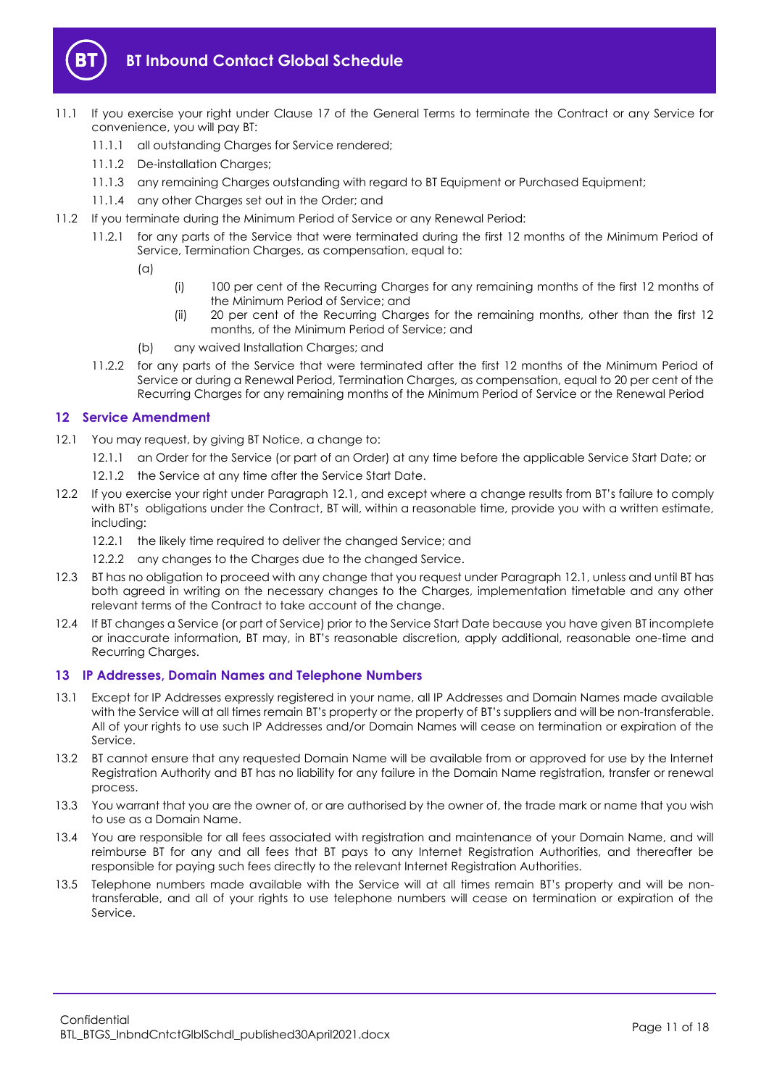

- 11.1 If you exercise your right under Clause 17 of the General Terms to terminate the Contract or any Service for convenience, you will pay BT:
	- 11.1.1 all outstanding Charges for Service rendered;
	- 11.1.2 De-installation Charges;
	- 11.1.3 any remaining Charges outstanding with regard to BT Equipment or Purchased Equipment;
	- 11.1.4 any other Charges set out in the Order; and
- 11.2 If you terminate during the Minimum Period of Service or any Renewal Period:
	- 11.2.1 for any parts of the Service that were terminated during the first 12 months of the Minimum Period of Service, Termination Charges, as compensation, equal to:
		- $(a)$
- (i) 100 per cent of the Recurring Charges for any remaining months of the first 12 months of the Minimum Period of Service; and
- (ii) 20 per cent of the Recurring Charges for the remaining months, other than the first 12 months, of the Minimum Period of Service; and
- (b) any waived Installation Charges; and
- 11.2.2 for any parts of the Service that were terminated after the first 12 months of the Minimum Period of Service or during a Renewal Period, Termination Charges, as compensation, equal to 20 per cent of the Recurring Charges for any remaining months of the Minimum Period of Service or the Renewal Period

### <span id="page-10-0"></span>**12 Service Amendment**

- <span id="page-10-2"></span>12.1 You may request, by giving BT Notice, a change to:
	- 12.1.1 an Order for the Service (or part of an Order) at any time before the applicable Service Start Date; or
	- 12.1.2 the Service at any time after the Service Start Date.
- 12.2 If you exercise your right under Paragraph [12.1,](#page-10-2) and except where a change results from BT's failure to comply with BT's obligations under the Contract, BT will, within a reasonable time, provide you with a written estimate, including:
	- 12.2.1 the likely time required to deliver the changed Service; and
	- 12.2.2 any changes to the Charges due to the changed Service.
- 12.3 BT has no obligation to proceed with any change that you request under Paragraph [12.1,](#page-10-2) unless and until BT has both agreed in writing on the necessary changes to the Charges, implementation timetable and any other relevant terms of the Contract to take account of the change.
- 12.4 If BT changes a Service (or part of Service) prior to the Service Start Date because you have given BT incomplete or inaccurate information, BT may, in BT's reasonable discretion, apply additional, reasonable one-time and Recurring Charges.

## <span id="page-10-1"></span>**13 IP Addresses, Domain Names and Telephone Numbers**

- 13.1 Except for IP Addresses expressly registered in your name, all IP Addresses and Domain Names made available with the Service will at all times remain BT's property or the property of BT's suppliers and will be non-transferable. All of your rights to use such IP Addresses and/or Domain Names will cease on termination or expiration of the Service.
- 13.2 BT cannot ensure that any requested Domain Name will be available from or approved for use by the Internet Registration Authority and BT has no liability for any failure in the Domain Name registration, transfer or renewal process.
- 13.3 You warrant that you are the owner of, or are authorised by the owner of, the trade mark or name that you wish to use as a Domain Name.
- 13.4 You are responsible for all fees associated with registration and maintenance of your Domain Name, and will reimburse BT for any and all fees that BT pays to any Internet Registration Authorities, and thereafter be responsible for paying such fees directly to the relevant Internet Registration Authorities.
- 13.5 Telephone numbers made available with the Service will at all times remain BT's property and will be nontransferable, and all of your rights to use telephone numbers will cease on termination or expiration of the Service.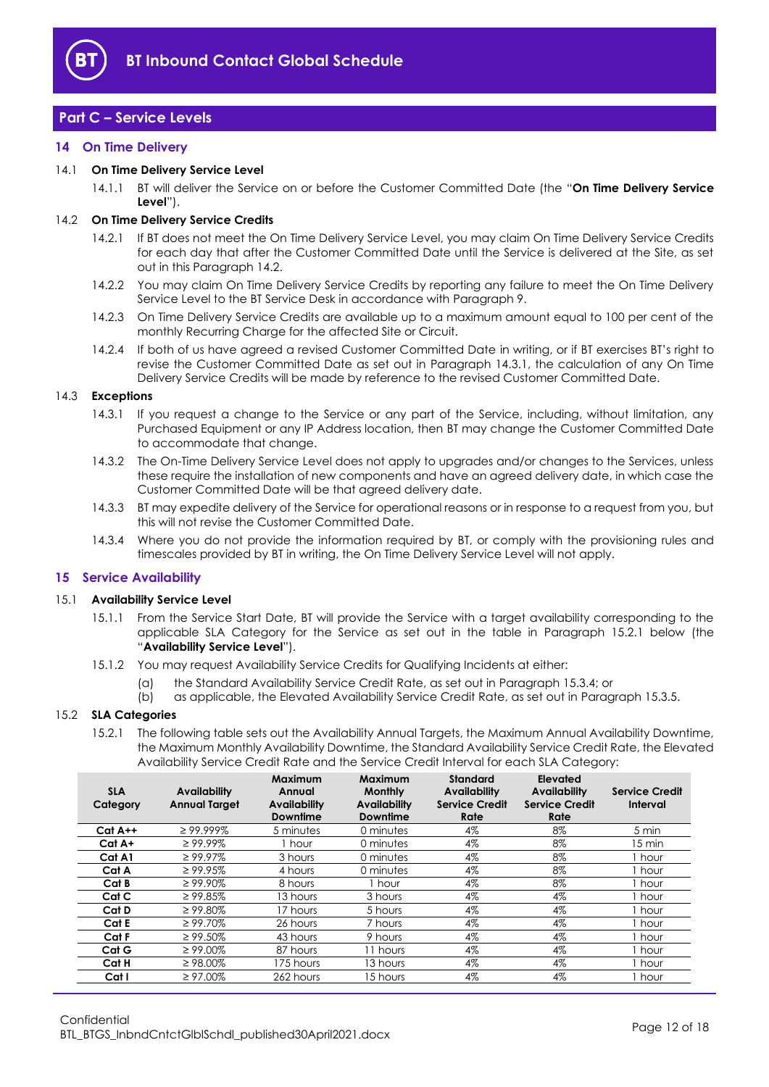

## <span id="page-11-0"></span>**Part C – Service Levels**

## <span id="page-11-1"></span>**14 On Time Delivery**

#### <span id="page-11-7"></span>14.1 **On Time Delivery Service Level**

14.1.1 BT will deliver the Service on or before the Customer Committed Date (the "**On Time Delivery Service Level**").

#### <span id="page-11-3"></span>14.2 **On Time Delivery Service Credits**

- 14.2.1 If BT does not meet the On Time Delivery Service Level, you may claim On Time Delivery Service Credits for each day that after the Customer Committed Date until the Service is delivered at the Site, as set out in this Paragraph [14.2.](#page-11-3)
- 14.2.2 You may claim On Time Delivery Service Credits by reporting any failure to meet the On Time Delivery Service Level to the BT Service Desk in accordance with Paragraph [9.](#page-9-0)
- 14.2.3 On Time Delivery Service Credits are available up to a maximum amount equal to 100 per cent of the monthly Recurring Charge for the affected Site or Circuit.
- 14.2.4 If both of us have agreed a revised Customer Committed Date in writing, or if BT exercises BT's right to revise the Customer Committed Date as set out in Paragraph [14.3.1,](#page-11-4) the calculation of any On Time Delivery Service Credits will be made by reference to the revised Customer Committed Date.

#### <span id="page-11-4"></span>14.3 **Exceptions**

- 14.3.1 If you request a change to the Service or any part of the Service, including, without limitation, any Purchased Equipment or any IP Address location, then BT may change the Customer Committed Date to accommodate that change.
- 14.3.2 The On-Time Delivery Service Level does not apply to upgrades and/or changes to the Services, unless these require the installation of new components and have an agreed delivery date, in which case the Customer Committed Date will be that agreed delivery date.
- 14.3.3 BT may expedite delivery of the Service for operational reasons or in response to a request from you, but this will not revise the Customer Committed Date.
- 14.3.4 Where you do not provide the information required by BT, or comply with the provisioning rules and timescales provided by BT in writing, the On Time Delivery Service Level will not apply.

#### <span id="page-11-2"></span>**15 Service Availability**

#### <span id="page-11-6"></span>15.1 **Availability Service Level**

- 15.1.1 From the Service Start Date, BT will provide the Service with a target availability corresponding to the applicable SLA Category for the Service as set out in the table in Paragraph [15.2.1](#page-11-5) below (the "**Availability Service Level**").
- 15.1.2 You may request Availability Service Credits for Qualifying Incidents at either:
	- (a) the Standard Availability Service Credit Rate, as set out in Paragraph [15.3.4;](#page-12-2) or
	- (b) as applicable, the Elevated Availability Service Credit Rate, as set out in Paragraph [15.3.5.](#page-12-3)

#### <span id="page-11-5"></span>15.2 **SLA Categories**

15.2.1 The following table sets out the Availability Annual Targets, the Maximum Annual Availability Downtime, the Maximum Monthly Availability Downtime, the Standard Availability Service Credit Rate, the Elevated Availability Service Credit Rate and the Service Credit Interval for each SLA Category:

| <b>SLA</b><br>Category | Availability<br><b>Annual Target</b> | Maximum<br>Annual<br><b>Availability</b><br><b>Downtime</b> | Maximum<br><b>Monthly</b><br>Availability<br><b>Downtime</b> | <b>Standard</b><br><b>Availability</b><br><b>Service Credit</b><br>Rate | Elevated<br><b>Availability</b><br><b>Service Credit</b><br>Rate | <b>Service Credit</b><br>Interval |
|------------------------|--------------------------------------|-------------------------------------------------------------|--------------------------------------------------------------|-------------------------------------------------------------------------|------------------------------------------------------------------|-----------------------------------|
| $Cat A++$              | $\geq$ 99.999%                       | 5 minutes                                                   | 0 minutes                                                    | 4%                                                                      | 8%                                                               | 5 min                             |
| Cat A+                 | $\geq 99.99\%$                       | hour                                                        | 0 minutes                                                    | 4%                                                                      | 8%                                                               | 15 min                            |
| Cat A1                 | $\geq 99.97\%$                       | 3 hours                                                     | 0 minutes                                                    | 4%                                                                      | 8%                                                               | l hour                            |
| Cat A                  | $\geq 99.95\%$                       | 4 hours                                                     | 0 minutes                                                    | 4%                                                                      | 8%                                                               | l hour                            |
| Cat B                  | $\geq 99.90\%$                       | 8 hours                                                     | hour                                                         | 4%                                                                      | 8%                                                               | . hour                            |
| Cat C                  | $\geq$ 99.85%                        | 13 hours                                                    | 3 hours                                                      | 4%                                                                      | 4%                                                               | l hour                            |
| Cat D                  | $\geq$ 99.80%                        | 17 hours                                                    | 5 hours                                                      | 4%                                                                      | 4%                                                               | l hour                            |
| Cat E                  | $\geq 99.70\%$                       | 26 hours                                                    | 7 hours                                                      | 4%                                                                      | 4%                                                               | l hour                            |
| Cat F                  | $\geq 99.50\%$                       | 43 hours                                                    | 9 hours                                                      | 4%                                                                      | 4%                                                               | hour                              |
| Cat G                  | $\geq$ 99.00%                        | 87 hours                                                    | 11 hours                                                     | 4%                                                                      | 4%                                                               | i hour                            |
| Cat H                  | $\geq$ 98.00%                        | 175 hours                                                   | 13 hours                                                     | 4%                                                                      | 4%                                                               | hour .                            |
| Cat I                  | $\geq 97.00\%$                       | 262 hours                                                   | 15 hours                                                     | 4%                                                                      | 4%                                                               | hour                              |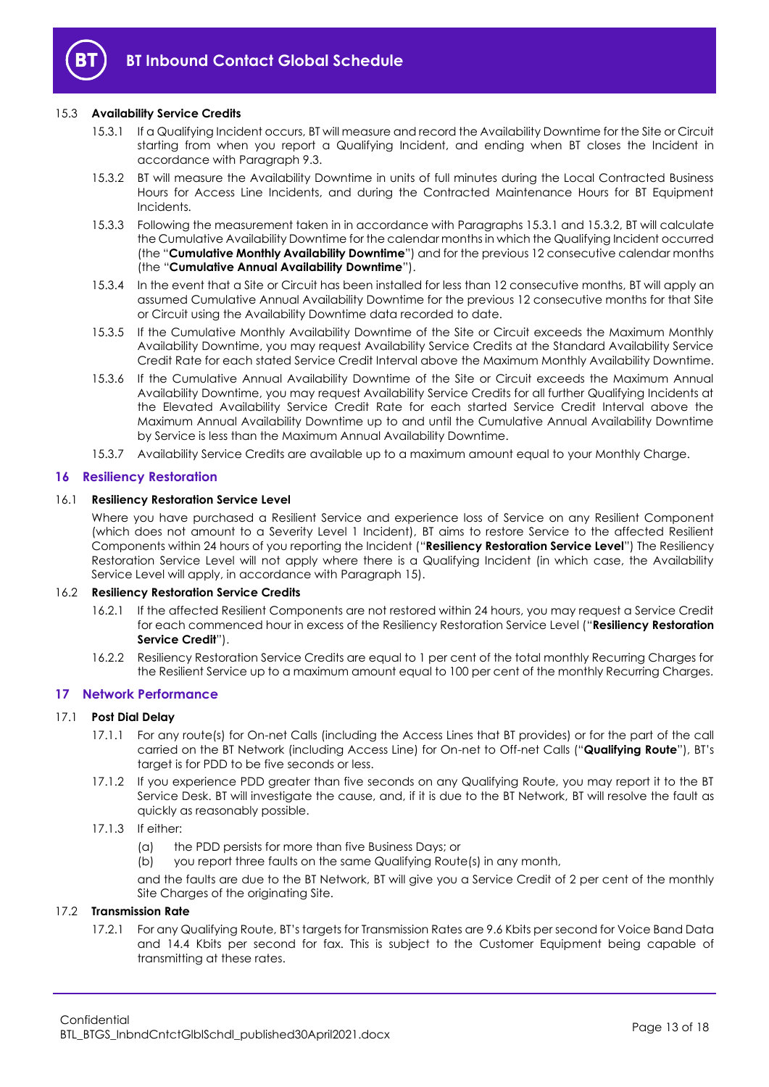

## <span id="page-12-4"></span>15.3 **Availability Service Credits**

- 15.3.1 If a Qualifying Incident occurs, BT will measure and record the Availability Downtime for the Site or Circuit starting from when you report a Qualifying Incident, and ending when BT closes the Incident in accordance with Paragraph [9.3.](#page-9-3)
- <span id="page-12-5"></span>15.3.2 BT will measure the Availability Downtime in units of full minutes during the Local Contracted Business Hours for Access Line Incidents, and during the Contracted Maintenance Hours for BT Equipment Incidents.
- <span id="page-12-6"></span>15.3.3 Following the measurement taken in in accordance with Paragraphs [15.3.1](#page-12-4) an[d 15.3.2,](#page-12-5) BT will calculate the Cumulative Availability Downtime for the calendar months in which the Qualifying Incident occurred (the "**Cumulative Monthly Availability Downtime**") and for the previous 12 consecutive calendar months (the "**Cumulative Annual Availability Downtime**").
- <span id="page-12-2"></span>15.3.4 In the event that a Site or Circuit has been installed for less than 12 consecutive months, BT will apply an assumed Cumulative Annual Availability Downtime for the previous 12 consecutive months for that Site or Circuit using the Availability Downtime data recorded to date.
- <span id="page-12-3"></span>15.3.5 If the Cumulative Monthly Availability Downtime of the Site or Circuit exceeds the Maximum Monthly Availability Downtime, you may request Availability Service Credits at the Standard Availability Service Credit Rate for each stated Service Credit Interval above the Maximum Monthly Availability Downtime.
- 15.3.6 If the Cumulative Annual Availability Downtime of the Site or Circuit exceeds the Maximum Annual Availability Downtime, you may request Availability Service Credits for all further Qualifying Incidents at the Elevated Availability Service Credit Rate for each started Service Credit Interval above the Maximum Annual Availability Downtime up to and until the Cumulative Annual Availability Downtime by Service is less than the Maximum Annual Availability Downtime.
- 15.3.7 Availability Service Credits are available up to a maximum amount equal to your Monthly Charge.

#### <span id="page-12-0"></span>**16 Resiliency Restoration**

#### <span id="page-12-10"></span>16.1 **Resiliency Restoration Service Level**

Where you have purchased a Resilient Service and experience loss of Service on any Resilient Component (which does not amount to a Severity Level 1 Incident), BT aims to restore Service to the affected Resilient Components within 24 hours of you reporting the Incident ("**Resiliency Restoration Service Level**") The Resiliency Restoration Service Level will not apply where there is a Qualifying Incident (in which case, the Availability Service Level will apply, in accordance with Paragraph [15\)](#page-11-2).

#### <span id="page-12-9"></span>16.2 **Resiliency Restoration Service Credits**

- 16.2.1 If the affected Resilient Components are not restored within 24 hours, you may request a Service Credit for each commenced hour in excess of the Resiliency Restoration Service Level ("**Resiliency Restoration Service Credit**").
- 16.2.2 Resiliency Restoration Service Credits are equal to 1 per cent of the total monthly Recurring Charges for the Resilient Service up to a maximum amount equal to 100 per cent of the monthly Recurring Charges.

## <span id="page-12-1"></span>**17 Network Performance**

#### <span id="page-12-8"></span><span id="page-12-7"></span>17.1 **Post Dial Delay**

- 17.1.1 For any route(s) for On-net Calls (including the Access Lines that BT provides) or for the part of the call carried on the BT Network (including Access Line) for On-net to Off-net Calls ("**Qualifying Route**"), BT's target is for PDD to be five seconds or less.
- 17.1.2 If you experience PDD greater than five seconds on any Qualifying Route, you may report it to the BT Service Desk. BT will investigate the cause, and, if it is due to the BT Network, BT will resolve the fault as quickly as reasonably possible.
- 17.1.3 If either:
	- (a) the PDD persists for more than five Business Days; or
	- (b) you report three faults on the same Qualifying Route(s) in any month,

and the faults are due to the BT Network, BT will give you a Service Credit of 2 per cent of the monthly Site Charges of the originating Site.

## 17.2 **Transmission Rate**

17.2.1 For any Qualifying Route, BT's targets for Transmission Rates are 9.6 Kbits per second for Voice Band Data and 14.4 Kbits per second for fax. This is subject to the Customer Equipment being capable of transmitting at these rates.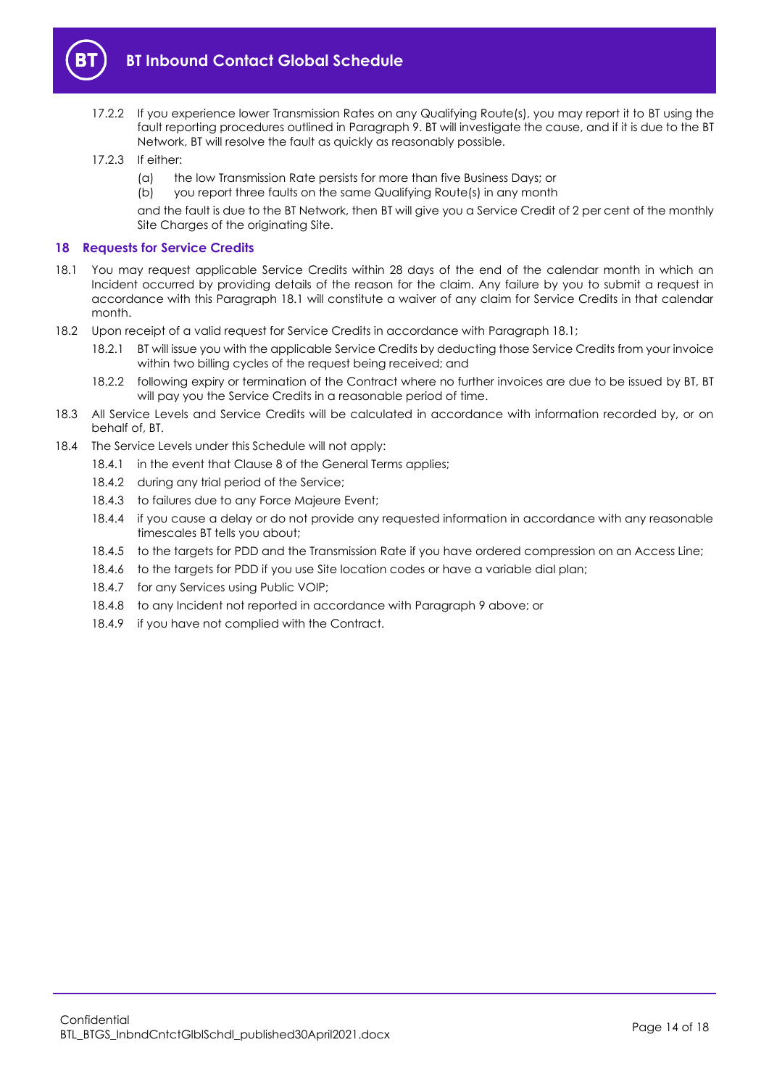

- 17.2.2 If you experience lower Transmission Rates on any Qualifying Route(s), you may report it to BT using the fault reporting procedures outlined in Paragraph [9.](#page-9-0) BT will investigate the cause, and if it is due to the BT Network, BT will resolve the fault as quickly as reasonably possible.
- 17.2.3 If either:
	- (a) the low Transmission Rate persists for more than five Business Days; or
	- (b) you report three faults on the same Qualifying Route(s) in any month

and the fault is due to the BT Network, then BT will give you a Service Credit of 2 per cent of the monthly Site Charges of the originating Site.

#### <span id="page-13-0"></span>**18 Requests for Service Credits**

- <span id="page-13-1"></span>18.1 You may request applicable Service Credits within 28 days of the end of the calendar month in which an Incident occurred by providing details of the reason for the claim. Any failure by you to submit a request in accordance with this Paragraph [18.1](#page-13-1) will constitute a waiver of any claim for Service Credits in that calendar month.
- 18.2 Upon receipt of a valid request for Service Credits in accordance with Paragraph [18.1;](#page-13-1)
	- 18.2.1 BT will issue you with the applicable Service Credits by deducting those Service Credits from your invoice within two billing cycles of the request being received; and
	- 18.2.2 following expiry or termination of the Contract where no further invoices are due to be issued by BT, BT will pay you the Service Credits in a reasonable period of time.
- 18.3 All Service Levels and Service Credits will be calculated in accordance with information recorded by, or on behalf of, BT.
- 18.4 The Service Levels under this Schedule will not apply:
	- 18.4.1 in the event that Clause 8 of the General Terms applies;
	- 18.4.2 during any trial period of the Service;
	- 18.4.3 to failures due to any Force Majeure Event;
	- 18.4.4 if you cause a delay or do not provide any requested information in accordance with any reasonable timescales BT tells you about;
	- 18.4.5 to the targets for PDD and the Transmission Rate if you have ordered compression on an Access Line;
	- 18.4.6 to the targets for PDD if you use Site location codes or have a variable dial plan;
	- 18.4.7 for any Services using Public VOIP;
	- 18.4.8 to any Incident not reported in accordance with Paragraph [9](#page-9-0) above; or
	- 18.4.9 if you have not complied with the Contract.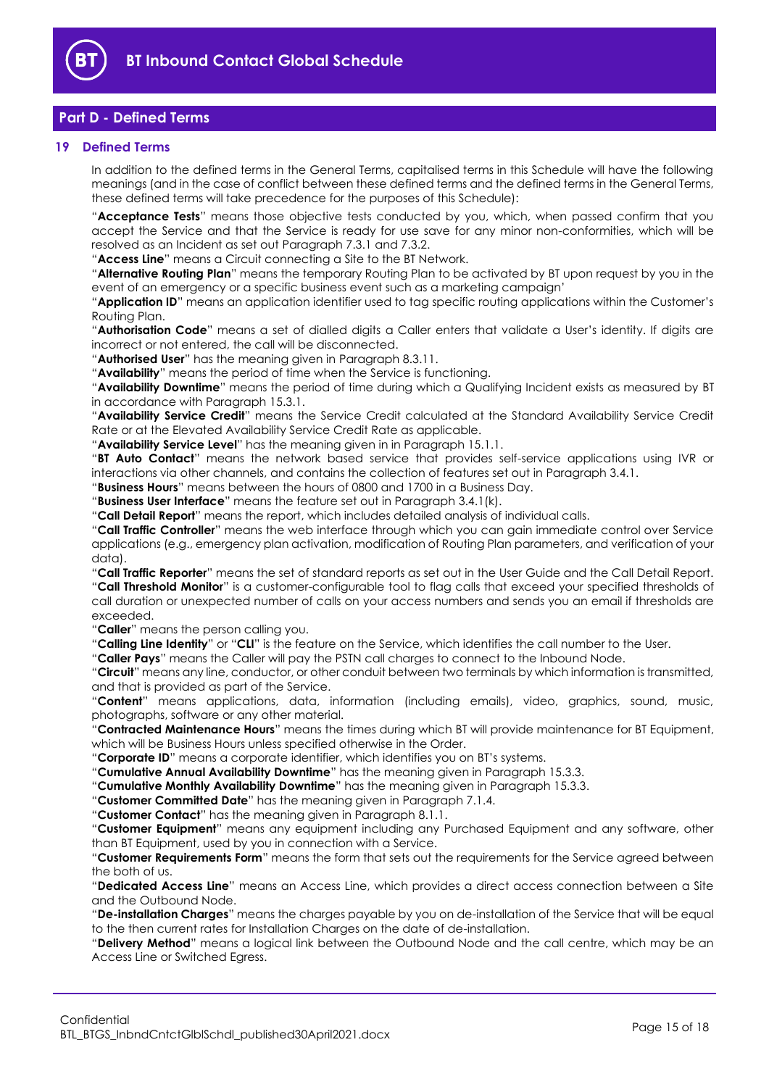

## <span id="page-14-0"></span>**Part D - Defined Terms**

#### <span id="page-14-1"></span>**19 Defined Terms**

In addition to the defined terms in the General Terms, capitalised terms in this Schedule will have the following meanings (and in the case of conflict between these defined terms and the defined terms in the General Terms, these defined terms will take precedence for the purposes of this Schedule):

"**Acceptance Tests**" means those objective tests conducted by you, which, when passed confirm that you accept the Service and that the Service is ready for use save for any minor non-conformities, which will be resolved as an Incident as set out Paragraph [7.3.1](#page-6-4) an[d 7.3.2.](#page-6-5)

"**Access Line**" means a Circuit connecting a Site to the BT Network.

"**Alternative Routing Plan**" means the temporary Routing Plan to be activated by BT upon request by you in the event of an emergency or a specific business event such as a marketing campaign'

"**Application ID**" means an application identifier used to tag specific routing applications within the Customer's Routing Plan.

"**Authorisation Code**" means a set of dialled digits a Caller enters that validate a User's identity. If digits are incorrect or not entered, the call will be disconnected.

"**Authorised User**" has the meaning given in Paragraph [8.3.11.](#page-8-1)

"**Availability**" means the period of time when the Service is functioning.

"**Availability Downtime**" means the period of time during which a Qualifying Incident exists as measured by BT in accordance with Paragraph [15.3.1.](#page-12-4)

"**Availability Service Credit**" means the Service Credit calculated at the Standard Availability Service Credit Rate or at the Elevated Availability Service Credit Rate as applicable.

"**Availability Service Level**" has the meaning given in in Paragraph [15.1.1.](#page-11-6)

"**BT Auto Contact**" means the network based service that provides self-service applications using IVR or interactions via other channels, and contains the collection of features set out in Paragraph [3.4.1.](#page-3-2)

"**Business Hours**" means between the hours of 0800 and 1700 in a Business Day.

"**Business User Interface**" means the feature set out in Paragraph [3.4.1\(k\).](#page-3-3)

"**Call Detail Report**" means the report, which includes detailed analysis of individual calls.

"**Call Traffic Controller**" means the web interface through which you can gain immediate control over Service applications (e.g., emergency plan activation, modification of Routing Plan parameters, and verification of your data).

"**Call Traffic Reporter**" means the set of standard reports as set out in the User Guide and the Call Detail Report. "**Call Threshold Monitor**" is a customer-configurable tool to flag calls that exceed your specified thresholds of call duration or unexpected number of calls on your access numbers and sends you an email if thresholds are

exceeded.

"**Caller**" means the person calling you.

"**Calling Line Identity**" or "**CLI**" is the feature on the Service, which identifies the call number to the User.

"**Caller Pays**" means the Caller will pay the PSTN call charges to connect to the Inbound Node.

"**Circuit**" means any line, conductor, or other conduit between two terminals by which information is transmitted, and that is provided as part of the Service.

"**Content**" means applications, data, information (including emails), video, graphics, sound, music, photographs, software or any other material.

"**Contracted Maintenance Hours**" means the times during which BT will provide maintenance for BT Equipment, which will be Business Hours unless specified otherwise in the Order.

"**Corporate ID**" means a corporate identifier, which identifies you on BT's systems.

"**Cumulative Annual Availability Downtime**" has the meaning given in Paragraph [15.3.3.](#page-12-6)

"**Cumulative Monthly Availability Downtime**" has the meaning given in Paragraph [15.3.3.](#page-12-6)

"**Customer Committed Date**" has the meaning given in Paragraph [7.1.4.](#page-6-6)

"**Customer Contact**" has the meaning given in Paragraph [8.1.1.](#page-7-4)

"**Customer Equipment**" means any equipment including any Purchased Equipment and any software, other than BT Equipment, used by you in connection with a Service.

"**Customer Requirements Form**" means the form that sets out the requirements for the Service agreed between the both of us.

"**Dedicated Access Line**" means an Access Line, which provides a direct access connection between a Site and the Outbound Node.

"**De-installation Charges**" means the charges payable by you on de-installation of the Service that will be equal to the then current rates for Installation Charges on the date of de-installation.

"**Delivery Method**" means a logical link between the Outbound Node and the call centre, which may be an Access Line or Switched Egress.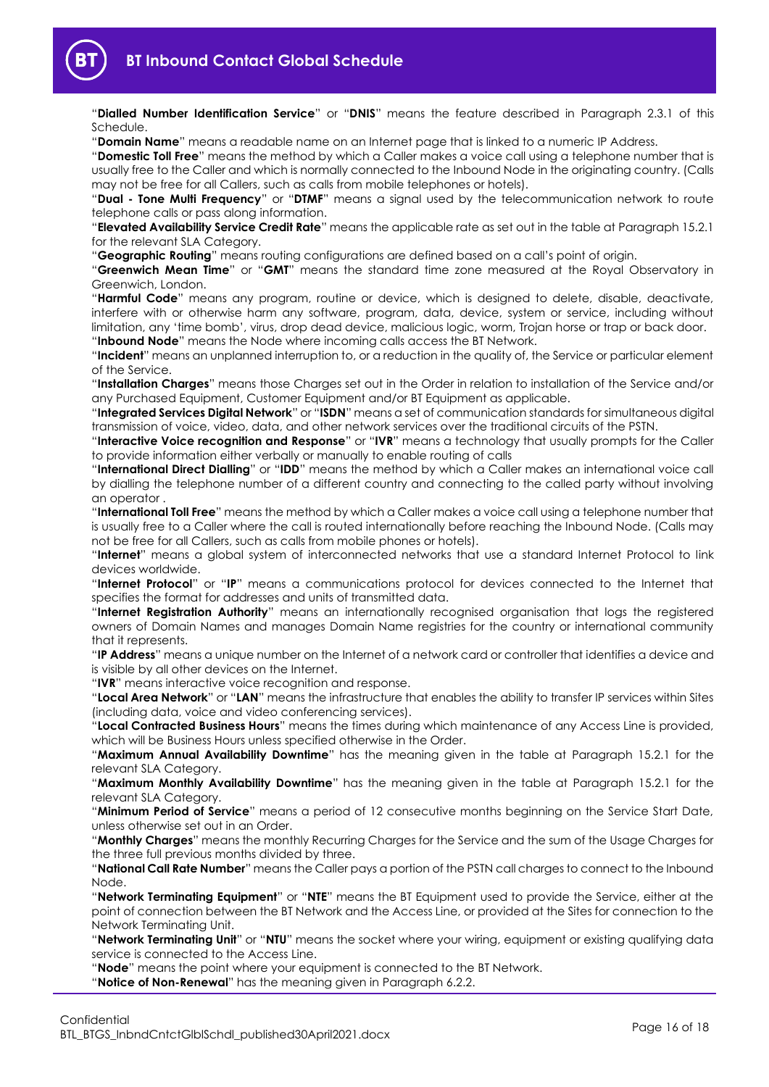

"**Dialled Number Identification Service**" or "**DNIS**" means the feature described in Paragraph [2.3.1](#page-1-4) of this Schedule.

"**Domain Name**" means a readable name on an Internet page that is linked to a numeric IP Address.

"**Domestic Toll Free**" means the method by which a Caller makes a voice call using a telephone number that is usually free to the Caller and which is normally connected to the Inbound Node in the originating country. (Calls may not be free for all Callers, such as calls from mobile telephones or hotels).

"**Dual - Tone Multi Frequency**" or "**DTMF**" means a signal used by the telecommunication network to route telephone calls or pass along information.

"**Elevated Availability Service Credit Rate**" means the applicable rate as set out in the table at Paragraph [15.2.1](#page-11-5) for the relevant SLA Category.

"**Geographic Routing**" means routing configurations are defined based on a call's point of origin.

"**Greenwich Mean Time**" or "**GMT**" means the standard time zone measured at the Royal Observatory in Greenwich, London.

"**Harmful Code**" means any program, routine or device, which is designed to delete, disable, deactivate, interfere with or otherwise harm any software, program, data, device, system or service, including without limitation, any 'time bomb', virus, drop dead device, malicious logic, worm, Trojan horse or trap or back door. "**Inbound Node**" means the Node where incoming calls access the BT Network.

"**Incident**" means an unplanned interruption to, or a reduction in the quality of, the Service or particular element of the Service.

"**Installation Charges**" means those Charges set out in the Order in relation to installation of the Service and/or any Purchased Equipment, Customer Equipment and/or BT Equipment as applicable.

"**Integrated Services Digital Network**" or "**ISDN**" means a set of communication standards for simultaneous digital transmission of voice, video, data, and other network services over the traditional circuits of the PSTN.

"**Interactive Voice recognition and Response**" or "**IVR**" means a technology that usually prompts for the Caller to provide information either verbally or manually to enable routing of calls

"**International Direct Dialling**" or "**IDD**" means the method by which a Caller makes an international voice call by dialling the telephone number of a different country and connecting to the called party without involving an operator .

"**International Toll Free**" means the method by which a Caller makes a voice call using a telephone number that is usually free to a Caller where the call is routed internationally before reaching the Inbound Node. (Calls may not be free for all Callers, such as calls from mobile phones or hotels).

"**Internet**" means a global system of interconnected networks that use a standard Internet Protocol to link devices worldwide.

"**Internet Protocol**" or "**IP**" means a communications protocol for devices connected to the Internet that specifies the format for addresses and units of transmitted data.

"**Internet Registration Authority**" means an internationally recognised organisation that logs the registered owners of Domain Names and manages Domain Name registries for the country or international community that it represents.

"**IP Address**" means a unique number on the Internet of a network card or controller that identifies a device and is visible by all other devices on the Internet.

"**IVR**" means interactive voice recognition and response.

"**Local Area Network**" or "**LAN**" means the infrastructure that enables the ability to transfer IP services within Sites (including data, voice and video conferencing services).

"**Local Contracted Business Hours**" means the times during which maintenance of any Access Line is provided, which will be Business Hours unless specified otherwise in the Order.

"**Maximum Annual Availability Downtime**" has the meaning given in the table at Paragraph [15.2.1](#page-11-5) for the relevant SLA Category.

"**Maximum Monthly Availability Downtime**" has the meaning given in the table at Paragraph [15.2.1](#page-11-5) for the relevant SLA Category.

"**Minimum Period of Service**" means a period of 12 consecutive months beginning on the Service Start Date, unless otherwise set out in an Order.

"**Monthly Charges**" means the monthly Recurring Charges for the Service and the sum of the Usage Charges for the three full previous months divided by three.

"**National Call Rate Number**" means the Caller pays a portion of the PSTN call charges to connect to the Inbound Node.

"**Network Terminating Equipment**" or "**NTE**" means the BT Equipment used to provide the Service, either at the point of connection between the BT Network and the Access Line, or provided at the Sites for connection to the Network Terminating Unit.

"**Network Terminating Unit**" or "**NTU**" means the socket where your wiring, equipment or existing qualifying data service is connected to the Access Line.

"**Node**" means the point where your equipment is connected to the BT Network.

"**Notice of Non-Renewal**" has the meaning given in Paragraph [6.2.2.](#page-4-3)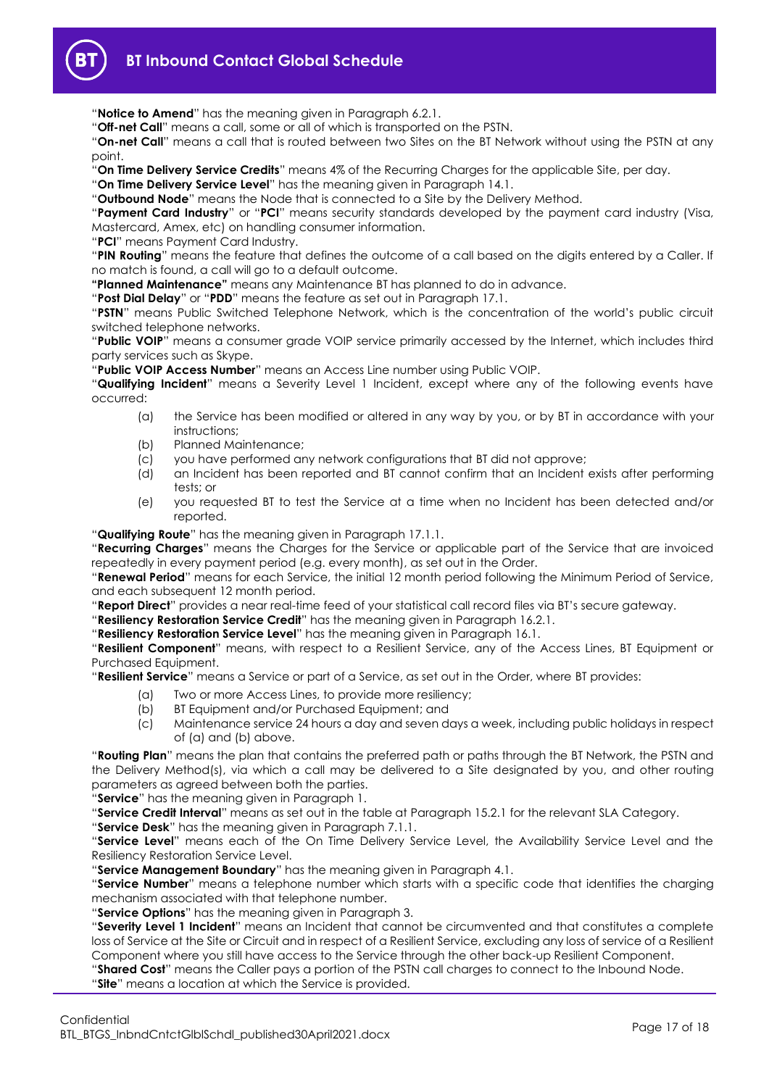

"**Notice to Amend**" has the meaning given in Paragraph [6.2.1.](#page-4-4)

"**Off-net Call**" means a call, some or all of which is transported on the PSTN.

"**On-net Call**" means a call that is routed between two Sites on the BT Network without using the PSTN at any point.

"**On Time Delivery Service Credits**" means 4% of the Recurring Charges for the applicable Site, per day.

"**On Time Delivery Service Level**" has the meaning given in Paragraph [14.1.](#page-11-7)

"**Outbound Node**" means the Node that is connected to a Site by the Delivery Method.

"**Payment Card Industry**" or "**PCI**" means security standards developed by the payment card industry (Visa, Mastercard, Amex, etc) on handling consumer information.

"**PCI**" means Payment Card Industry.

"**PIN Routing**" means the feature that defines the outcome of a call based on the digits entered by a Caller. If no match is found, a call will go to a default outcome.

**"Planned Maintenance"** means any Maintenance BT has planned to do in advance.

"**Post Dial Delay**" or "**PDD**" means the feature as set out in Paragraph [17.1.](#page-12-7)

"**PSTN**" means Public Switched Telephone Network, which is the concentration of the world's public circuit switched telephone networks.

"**Public VOIP**" means a consumer grade VOIP service primarily accessed by the Internet, which includes third party services such as Skype.

"**Public VOIP Access Number**" means an Access Line number using Public VOIP.

"**Qualifying Incident**" means a Severity Level 1 Incident, except where any of the following events have occurred:

- (a) the Service has been modified or altered in any way by you, or by BT in accordance with your instructions;
- (b) Planned Maintenance;
- (c) you have performed any network configurations that BT did not approve;
- (d) an Incident has been reported and BT cannot confirm that an Incident exists after performing tests; or
- (e) you requested BT to test the Service at a time when no Incident has been detected and/or reported.

"**Qualifying Route**" has the meaning given in Paragraph [17.1.1.](#page-12-8)

"**Recurring Charges**" means the Charges for the Service or applicable part of the Service that are invoiced repeatedly in every payment period (e.g. every month), as set out in the Order.

"**Renewal Period**" means for each Service, the initial 12 month period following the Minimum Period of Service, and each subsequent 12 month period.

"**Report Direct**" provides a near real-time feed of your statistical call record files via BT's secure gateway.

"**Resiliency Restoration Service Credit**" has the meaning given in Paragraph [16.2.1.](#page-12-9)

"**Resiliency Restoration Service Level**" has the meaning given in Paragraph [16.1.](#page-12-10)

"**Resilient Component**" means, with respect to a Resilient Service, any of the Access Lines, BT Equipment or Purchased Equipment.

"**Resilient Service**" means a Service or part of a Service, as set out in the Order, where BT provides:

- (a) Two or more Access Lines, to provide more resiliency;
- (b) BT Equipment and/or Purchased Equipment; and
- (c) Maintenance service 24 hours a day and seven days a week, including public holidays in respect of (a) and (b) above.

"**Routing Plan**" means the plan that contains the preferred path or paths through the BT Network, the PSTN and the Delivery Method(s), via which a call may be delivered to a Site designated by you, and other routing parameters as agreed between both the parties.

"**Service**" has the meaning given in Paragraph [1.](#page-1-2)

"**Service Credit Interval**" means as set out in the table at Paragraph [15.2.1](#page-11-5) for the relevant SLA Category.

"**Service Desk**" has the meaning given in Paragraph [7.1.1.](#page-6-7)

"**Service Level**" means each of the On Time Delivery Service Level, the Availability Service Level and the Resiliency Restoration Service Level.

"**Service Management Boundary**" has the meaning given in Paragraph [4.1.](#page-3-4)

"**Service Number**" means a telephone number which starts with a specific code that identifies the charging mechanism associated with that telephone number.

"**Service Options**" has the meaning given in Paragraph [3.](#page-2-0)

"**Severity Level 1 Incident**" means an Incident that cannot be circumvented and that constitutes a complete loss of Service at the Site or Circuit and in respect of a Resilient Service, excluding any loss of service of a Resilient Component where you still have access to the Service through the other back-up Resilient Component.

"**Shared Cost**" means the Caller pays a portion of the PSTN call charges to connect to the Inbound Node.

"**Site**" means a location at which the Service is provided.